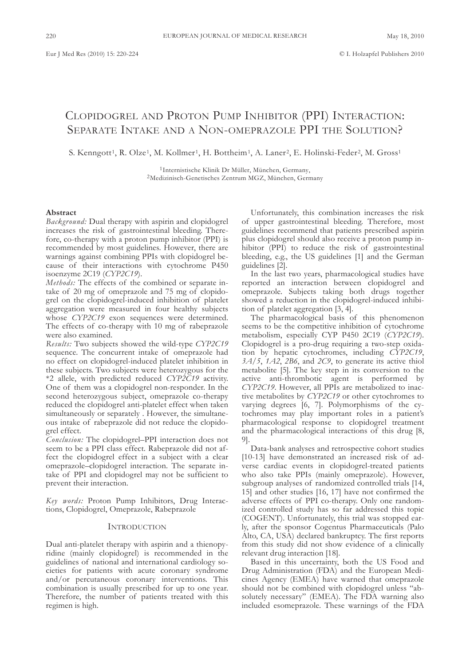# CloPIdogREl and PRoton PuMP InHIbItoR (PPI) IntERaCtIon: SEPARATE INTAKE AND A NON-OMEPRAZOLE PPI THE SOLUTION?

S. Kenngott<sup>1</sup>, R. Olze<sup>1</sup>, M. Kollmer<sup>1</sup>, H. Bottheim<sup>1</sup>, A. Laner<sup>2</sup>, E. Holinski-Feder<sup>2</sup>, M. Gross<sup>1</sup>

<sup>1</sup>Internistische Klinik Dr Müller, München, Germany, <sup>2</sup>Medizinisch-Genetisches Zentrum MGZ, München, Germany

#### **Abstract**

Background: Dual therapy with aspirin and clopidogrel increases the risk of gastrointestinal bleeding. Therefore, co-therapy with a proton pump inhibitor (PPI) is recommended by most guidelines. However, there are warnings against combining PPIs with clopidogrel because of their interactions with cytochrome P450 isoenzyme 2C19 (*CYP2C19*).

*Methods:* The effects of the combined or separate intake of 20 mg of omeprazole and 75 mg of clopidogrel on the clopidogrel-induced inhibition of platelet aggregation were measured in four healthy subjects whose *CYP2C19* exon sequences were determined. The effects of co-therapy with 10 mg of rabeprazole were also examined.

*Results:* Two subjects showed the wild-type *CYP2C19* sequence. The concurrent intake of omeprazole had no effect on clopidogrel-induced platelet inhibition in these subjects. Two subjects were heterozygous for the \*2 allele, with predicted reduced *CYP2C19* activity. One of them was a clopidogrel non-responder. In the second heterozygous subject, omeprazole co-therapy reduced the clopidogrel anti-platelet effect when taken simultaneously or separately . However, the simultaneous intake of rabeprazole did not reduce the clopidogrel effect.

*Conclusion:* The clopidogrel–PPI interaction does not seem to be a PPI class effect. Rabeprazole did not affect the clopidogrel effect in a subject with a clear omeprazole-clopidogrel interaction. The separate intake of PPI and clopidogrel may not be sufficient to prevent their interaction.

Key words: Proton Pump Inhibitors, Drug Interactions, Clopidogrel, omeprazole, Rabeprazole

#### IntRoduCtIon

Dual anti-platelet therapy with aspirin and a thienopyridine (mainly clopidogrel) is recommended in the guidelines of national and international cardiology societies for patients with acute coronary syndrome and/or percutaneous coronary interventions. This combination is usually prescribed for up to one year. Therefore, the number of patients treated with this regimen is high.

Unfortunately, this combination increases the risk of upper gastrointestinal bleeding. Therefore, most guidelines recommend that patients prescribed aspirin plus clopidogrel should also receive a proton pump inhibitor (PPI) to reduce the risk of gastrointestinal bleeding, e.g., the US guidelines [1] and the German guidelines [2].

In the last two years, pharmacological studies have reported an interaction between clopidogrel and omeprazole. Subjects taking both drugs together showed a reduction in the clopidogrel-induced inhibition of platelet aggregation [3, 4].

The pharmacological basis of this phenomenon seems to be the competitive inhibition of cytochrome metabolism, especially CYP P450 2C19 (*CYP2C19*). Clopidogrel is a pro-drug requiring a two-step oxidation by hepatic cytochromes, including *CYP2C19*, *3A/5*, *1A2*, *2B6*, and *2C9*, to generate its active thiol metabolite [5]. The key step in its conversion to the active anti-thrombotic agent is performed by *CYP2C19*. However, all PPIs are metabolized to inactive metabolites by *CYP2C19* or other cytochromes to varying degrees [6, 7]. Polymorphisms of the cytochromes may play important roles in a patient's pharmacological response to clopidogrel treatment and the pharmacological interactions of this drug [8, 9].

Data-bank analyses and retrospective cohort studies [10-13] have demonstrated an increased risk of adverse cardiac events in clopidogrel-treated patients who also take PPIs (mainly omeprazole). However, subgroup analyses of randomized controlled trials [14, 15] and other studies [16, 17] have not confirmed the adverse effects of PPI co-therapy. Only one randomized controlled study has so far addressed this topic (COGENT). Unfortunately, this trial was stopped early, after the sponsor Cogentus Pharmaceuticals (Palo Alto, CA, USA) declared bankruptcy. The first reports from this study did not show evidence of a clinically relevant drug interaction [18].

Based in this uncertainty, both the US Food and Drug Administration (FDA) and the European Medicines agency (EMEa) have warned that omeprazole should not be combined with clopidogrel unless "absolutely necessary" (EMEA). The FDA warning also included esomeprazole. These warnings of the FDA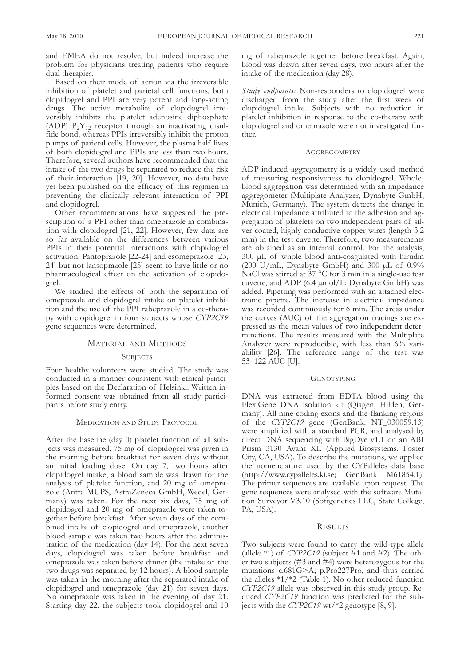and EMEa do not resolve, but indeed increase the problem for physicians treating patients who require dual therapies.

based on their mode of action via the irreversible inhibition of platelet and parietal cell functions, both clopidogrel and PPI are very potent and long-acting drugs. The active metabolite of clopidogrel irreversibly inhibits the platelet adenosine diphosphate (ADP)  $P_2Y_{12}$  receptor through an inactivating disulfide bond, whereas PPIs irreversibly inhibit the proton pumps of parietal cells. However, the plasma half lives of both clopidogrel and PPIs are less than two hours. Therefore, several authors have recommended that the intake of the two drugs be separated to reduce the risk of their interaction [19, 20]. However, no data have yet been published on the efficacy of this regimen in preventing the clinically relevant interaction of PPI and clopidogrel.

Other recommendations have suggested the prescription of a PPI other than omeprazole in combination with clopidogrel [21, 22]. However, few data are so far available on the differences between various PPIs in their potential interactions with clopidogrel activation. Pantoprazole [22-24] and esomeprazole [23, 24] but not lansoprazole [25] seem to have little or no pharmacological effect on the activation of clopidogrel.

We studied the effects of both the separation of omeprazole and clopidogrel intake on platelet inhibition and the use of the PPI rabeprazole in a co-therapy with clopidogrel in four subjects whose *CYP2C19* gene sequences were determined.

#### MatERIal and MEtHodS

## **SUBJECTS**

Four healthy volunteers were studied. The study was conducted in a manner consistent with ethical principles based on the Declaration of Helsinki. Written informed consent was obtained from all study participants before study entry.

# MEDICATION AND STUDY PROTOCOL

After the baseline (day 0) platelet function of all subjects was measured, 75 mg of clopidogrel was given in the morning before breakfast for seven days without an initial loading dose. On day 7, two hours after clopidogrel intake, a blood sample was drawn for the analysis of platelet function, and 20 mg of omeprazole (Antra MUPS, AstraZeneca GmbH, Wedel, Germany) was taken. For the next six days, 75 mg of clopidogrel and 20 mg of omeprazole were taken together before breakfast. After seven days of the combined intake of clopidogrel and omeprazole, another blood sample was taken two hours after the administration of the medication (day 14). For the next seven days, clopidogrel was taken before breakfast and omeprazole was taken before dinner (the intake of the two drugs was separated by 12 hours). A blood sample was taken in the morning after the separated intake of clopidogrel and omeprazole (day 21) for seven days. No omeprazole was taken in the evening of day 21. Starting day 22, the subjects took clopidogrel and 10

mg of rabeprazole together before breakfast. again, blood was drawn after seven days, two hours after the intake of the medication (day 28).

*Study endpoints:* Non-responders to clopidogrel were discharged from the study after the first week of clopidogrel intake. Subjects with no reduction in platelet inhibition in response to the co-therapy with clopidogrel and omeprazole were not investigated further.

#### **AGGREGOMETRY**

ADP-induced aggregometry is a widely used method of measuring responsiveness to clopidogrel. Wholeblood aggregation was determined with an impedance aggregometer (Multiplate Analyzer, Dynabyte GmbH, Munich, Germany). The system detects the change in electrical impedance attributed to the adhesion and aggregation of platelets on two independent pairs of silver-coated, highly conductive copper wires (length 3.2 mm) in the test cuvette. Therefore, two measurements are obtained as an internal control. For the analysis, 300 µL of whole blood anti-coagulated with hirudin  $(200 \text{ U/mL}, \text{Dynabyte GmbH})$  and 300 µL of 0.9% naCl was stirred at 37 °C for 3 min in a single-use test cuvette, and ADP (6.4  $\mu$ mol/L; Dynabyte GmbH) was added. Pipetting was performed with an attached electronic pipette. The increase in electrical impedance was recorded continuously for 6 min. The areas under the curves (AUC) of the aggregation tracings are expressed as the mean values of two independent determinations. The results measured with the Multiplate Analyzer were reproducible, with less than 6% variability [26]. The reference range of the test was 53–122 auC [u].

#### **GENOTYPING**

DNA was extracted from EDTA blood using the FlexiGene DNA isolation kit (Qiagen, Hilden, Germany). All nine coding exons and the flanking regions of the *CYP2C19* gene (GenBank: NT\_030059.13) were amplified with a standard PCR, and analysed by direct DNA sequencing with BigDye v1.1 on an ABI Prism 3130 Avant XL (Applied Biosystems, Foster City, CA, USA). To describe the mutations, we applied the nomenclature used by the CYPalleles data base (http://www.cypalleles.ki.se; GenBank M61854.1). The primer sequences are available upon request. The gene sequences were analysed with the software Mutation Surveyor V3.10 (Softgenetics LLC, State College, PA, USA).

### **RESULTS**

Two subjects were found to carry the wild-type allele (allele  $*1$ ) of *CYP2C19* (subject #1 and #2). The other two subjects (#3 and #4) were heterozygous for the mutations c.681G>A; p.Pro227Pro, and thus carried the alleles  $*1/*2$  (Table 1). No other reduced-function *CYP2C19* allele was observed in this study group. Reduced *CYP2C19* function was predicted for the subjects with the *CYP2C19* wt/\*2 genotype [8, 9].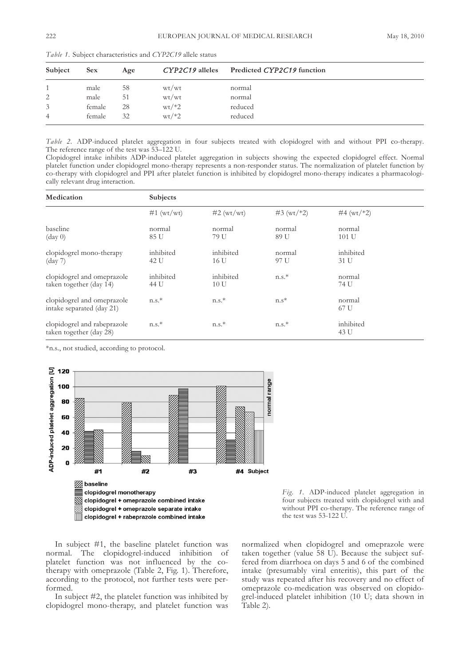| Subject        | <b>Sex</b> | Age | CYP2C19 alleles | Predicted CYP2C19 function |  |
|----------------|------------|-----|-----------------|----------------------------|--|
|                | male       | 58  | wt/wt           | normal                     |  |
| 2              | male       | 51  | wt/wt           | normal                     |  |
| 3              | female     | 28  | $wt/*2$         | reduced                    |  |
| $\overline{4}$ | female     | 32  | $wt/*2$         | reduced                    |  |

*Table 1.* Subject characteristics and *CYP2C19* allele status

*Table* 2. ADP-induced platelet aggregation in four subjects treated with clopidogrel with and without PPI co-therapy. The reference range of the test was  $53-122$  U.

Clopidogrel intake inhibits adP-induced platelet aggregation in subjects showing the expected clopidogrel effect. normal platelet function under clopidogrel mono-therapy represents a non-responder status. the normalization of platelet function by co-therapy with clopidogrel and PPI after platelet function is inhibited by clopidogrel mono-therapy indicates a pharmacologically relevant drug interaction.

| Medication                                              | <b>Subjects</b>   |                   |                |                   |  |  |
|---------------------------------------------------------|-------------------|-------------------|----------------|-------------------|--|--|
|                                                         | $\#1$ (wt/wt)     | #2(wt/wt)         | #3 (wt/ $*2$ ) | #4 (wt/ $*2$ )    |  |  |
| baseline<br>$(\text{day } 0)$                           | normal<br>85 U    | normal<br>79 U    | normal<br>89 U | normal<br>101 U   |  |  |
| clopidogrel mono-therapy<br>$(\text{day } 7)$           | inhibited<br>42 U | inhibited<br>16 U | normal<br>97 U | inhibited<br>31 U |  |  |
| clopidogrel and omeprazole<br>taken together (day 14)   | inhibited<br>44 U | inhibited<br>10 U | $n.s.*$        | normal<br>74 U    |  |  |
| clopidogrel and omeprazole<br>intake separated (day 21) | $n.s.*$           | $n.s.*$           | $n.s*$         | normal<br>67 U    |  |  |
| clopidogrel and rabeprazole<br>taken together (day 28)  | $n.s.*$           | $n.s.*$           | $n.s.*$        | inhibited<br>43 U |  |  |

\*n.s., not studied, according to protocol.



Fig. 1. ADP-induced platelet aggregation in four subjects treated with clopidogrel with and without PPI co-therapy. The reference range of the test was 53-122 U.

In subject #1, the baseline platelet function was normal. the clopidogrel-induced inhibition of platelet function was not influenced by the cotherapy with omeprazole (Table 2, Fig. 1). Therefore, according to the protocol, not further tests were performed.

In subject #2, the platelet function was inhibited by clopidogrel mono-therapy, and platelet function was normalized when clopidogrel and omeprazole were taken together (value  $\overline{58}$  U). Because the subject suffered from diarrhoea on days 5 and 6 of the combined intake (presumably viral enteritis), this part of the study was repeated after his recovery and no effect of omeprazole co-medication was observed on clopidogrel-induced platelet inhibition (10 U; data shown in Table 2).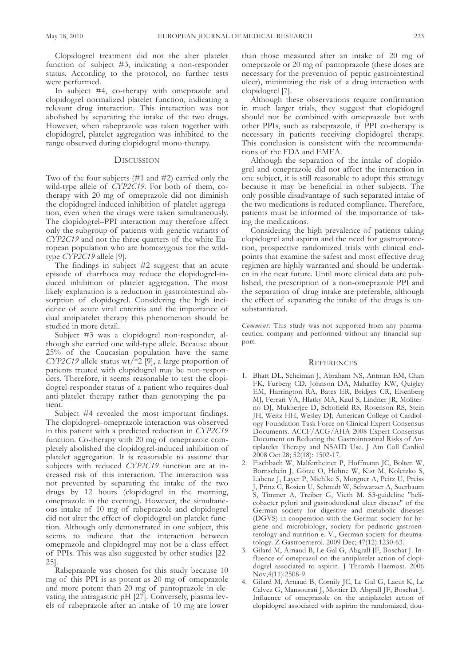Clopidogrel treatment did not the alter platelet function of subject #3, indicating a non-responder status. According to the protocol, no further tests were performed.

In subject #4, co-therapy with omeprazole and clopidogrel normalized platelet function, indicating a relevant drug interaction. This interaction was not abolished by separating the intake of the two drugs. However, when rabeprazole was taken together with clopidogrel, platelet aggregation was inhibited to the range observed during clopidogrel mono-therapy.

# **DISCUSSION**

Two of the four subjects  $(\#1 \text{ and } \#2)$  carried only the wild-type allele of *CYP2C19*. For both of them, cotherapy with 20 mg of omeprazole did not diminish the clopidogrel-induced inhibition of platelet aggregation, even when the drugs were taken simultaneously. The clopidogrel–PPI interaction may therefore affect only the subgroup of patients with genetic variants of *CYP2C19* and not the three quarters of the white European population who are homozygous for the wildtype *CYP2C19* allele [9].

The findings in subject  $#2$  suggest that an acute episode of diarrhoea may reduce the clopidogrel-induced inhibition of platelet aggregation. The most likely explanation is a reduction in gastrointestinal absorption of clopidogrel. Considering the high incidence of acute viral enteritis and the importance of dual antiplatelet therapy this phenomenon should be studied in more detail.

Subject #3 was a clopidogrel non-responder, although she carried one wild-type allele. because about 25% of the Caucasian population have the same *CYP2C19* allele status wt/\*2 [9], a large proportion of patients treated with clopidogrel may be non-responders. Therefore, it seems reasonable to test the clopidogrel-responder status of a patient who requires dual anti-platelet therapy rather than genotyping the patient.

Subject #4 revealed the most important findings. The clopidogrel–omeprazole interaction was observed in this patient with a predicted reduction in *CYP2C19* function. Co-therapy with 20 mg of omeprazole completely abolished the clopidogrel-induced inhibition of platelet aggregation. It is reasonable to assume that subjects with reduced *CYP2C19* function are at increased risk of this interaction. The interaction was not prevented by separating the intake of the two drugs by 12 hours (clopidogrel in the morning, omeprazole in the evening). However, the simultaneous intake of 10 mg of rabeprazole and clopidogrel did not alter the effect of clopidogrel on platelet function. although only demonstrated in one subject, this seems to indicate that the interaction between omeprazole and clopidogrel may not be a class effect of PPIs. This was also suggested by other studies [22-25].

Rabeprazole was chosen for this study because 10 mg of this PPI is as potent as 20 mg of omeprazole and more potent than 20 mg of pantoprazole in elevating the intragastric pH [27]. Conversely, plasma levels of rabeprazole after an intake of 10 mg are lower than those measured after an intake of 20 mg of omeprazole or 20 mg of pantoprazole (these doses are necessary for the prevention of peptic gastrointestinal ulcer), minimizing the risk of a drug interaction with clopidogrel [7].

although these observations require confirmation in much larger trials, they suggest that clopidogrel should not be combined with omeprazole but with other PPIs, such as rabeprazole, if PPI co-therapy is necessary in patients receiving clopidogrel therapy. This conclusion is consistent with the recommendations of the FDA and EMEA.

although the separation of the intake of clopidogrel and omeprazole did not affect the interaction in one subject, it is still reasonable to adopt this strategy because it may be beneficial in other subjects. The only possible disadvantage of such separated intake of the two medications is reduced compliance. Therefore, patients must be informed of the importance of taking the medications.

Considering the high prevalence of patients taking clopidogrel and aspirin and the need for gastroprotection, prospective randomized trials with clinical endpoints that examine the safest and most effective drug regimen are highly warranted and should be undertaken in the near future. Until more clinical data are published, the prescription of a non-omeprazole PPI and the separation of drug intake are preferable, although the effect of separating the intake of the drugs is unsubstantiated.

*Comment:* This study was not supported from any pharmaceutical company and performed without any financial support.

#### **REFERENCES**

- 1. Bhatt DL, Scheiman J, Abraham NS, Antman EM, Chan FK, Furberg CD, Johnson DA, Mahaffey KW, Quigley EM, Harrington Ra, bates ER, bridges CR, Eisenberg MJ, Ferrari Va, Hlatky Ma, kaul S, lindner JR, Moliterno DJ, Mukherjee D, Schofield RS, Rosenson RS, Stein JH, Weitz HH, Wesley DJ, American College of Cardiology Foundation Task Force on Clinical Expert Consensus Documents. ACCF/ACG/AHA 2008 Expert Consensus Document on Reducing the Gastrointestinal Risks of Antiplatelet Therapy and NSAID Use. J Am Coll Cardiol 2008 oct 28; 52(18): 1502-17.
- 2. Fischbach W, Malfertheiner P, Hoffmann JC, bolten W, bornschein J, götze o, Höhne W, kist M, koletzko S, Labenz J, Layer P, Miehlke S, Morgner A, Peitz U, Preiss J, Prinz C, Rosien U, Schmidt W, Schwarzer A, Suerbaum S, Timmer A, Treiber G, Vieth M. S3-guideline "helicobacter pylori and gastroduodenal ulcer disease" of the German society for digestive and metabolic diseases (DGVS) in cooperation with the German society for hygiene and microbiology, society for pediatric gastroenterology and nutrition e. V., German society for rheumatology. Z Gastroenterol. 2009 Dec; 47(12):1230-63.
- 3. Gilard M, Arnaud B, Le Gal G, Abgrall JF, Boschat J. Influence of omeprazol on the antiplatelet action of clopidogrel associated to aspirin. J Thromb Haemost. 2006 Nov;4(11):2508-9.
- 4. Gilard M, Arnaud B, Cornily JC, Le Gal G, Lacut K, Le Calvez G, Mansourati J, Mottier D, Abgrall JF, Boschat J. Influence of omeprazole on the antiplatelet action of clopidogrel associated with aspirin: the randomized, dou-